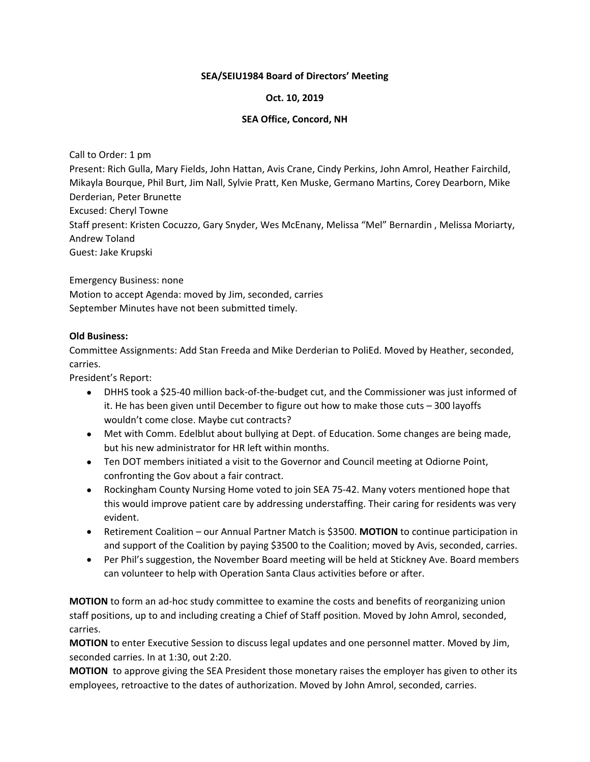## **SEA/SEIU1984 Board of Directors' Meeting**

## **Oct. 10, 2019**

## **SEA Office, Concord, NH**

Call to Order: 1 pm

Present: Rich Gulla, Mary Fields, John Hattan, Avis Crane, Cindy Perkins, John Amrol, Heather Fairchild, Mikayla Bourque, Phil Burt, Jim Nall, Sylvie Pratt, Ken Muske, Germano Martins, Corey Dearborn, Mike Derderian, Peter Brunette

Excused: Cheryl Towne

Staff present: Kristen Cocuzzo, Gary Snyder, Wes McEnany, Melissa "Mel" Bernardin , Melissa Moriarty, Andrew Toland

Guest: Jake Krupski

Emergency Business: none Motion to accept Agenda: moved by Jim, seconded, carries September Minutes have not been submitted timely.

## **Old Business:**

Committee Assignments: Add Stan Freeda and Mike Derderian to PoliEd. Moved by Heather, seconded, carries.

President's Report:

- DHHS took a \$25-40 million back-of-the-budget cut, and the Commissioner was just informed of it. He has been given until December to figure out how to make those cuts – 300 layoffs wouldn't come close. Maybe cut contracts?
- Met with Comm. Edelblut about bullying at Dept. of Education. Some changes are being made, but his new administrator for HR left within months.
- Ten DOT members initiated a visit to the Governor and Council meeting at Odiorne Point, confronting the Gov about a fair contract.
- Rockingham County Nursing Home voted to join SEA 75-42. Many voters mentioned hope that this would improve patient care by addressing understaffing. Their caring for residents was very evident.
- Retirement Coalition our Annual Partner Match is \$3500. **MOTION** to continue participation in and support of the Coalition by paying \$3500 to the Coalition; moved by Avis, seconded, carries.
- Per Phil's suggestion, the November Board meeting will be held at Stickney Ave. Board members can volunteer to help with Operation Santa Claus activities before or after.

**MOTION** to form an ad-hoc study committee to examine the costs and benefits of reorganizing union staff positions, up to and including creating a Chief of Staff position. Moved by John Amrol, seconded, carries.

**MOTION** to enter Executive Session to discuss legal updates and one personnel matter. Moved by Jim, seconded carries. In at 1:30, out 2:20.

**MOTION** to approve giving the SEA President those monetary raises the employer has given to other its employees, retroactive to the dates of authorization. Moved by John Amrol, seconded, carries.